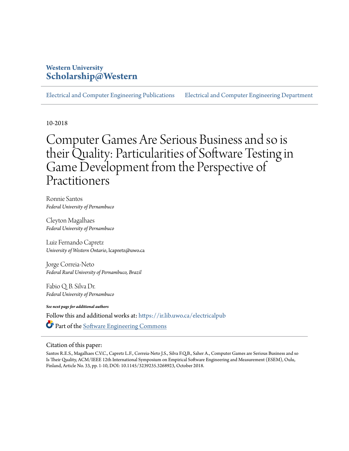# **Western University [Scholarship@Western](https://ir.lib.uwo.ca?utm_source=ir.lib.uwo.ca%2Felectricalpub%2F160&utm_medium=PDF&utm_campaign=PDFCoverPages)**

[Electrical and Computer Engineering Publications](https://ir.lib.uwo.ca/electricalpub?utm_source=ir.lib.uwo.ca%2Felectricalpub%2F160&utm_medium=PDF&utm_campaign=PDFCoverPages) [Electrical and Computer Engineering Department](https://ir.lib.uwo.ca/electrical?utm_source=ir.lib.uwo.ca%2Felectricalpub%2F160&utm_medium=PDF&utm_campaign=PDFCoverPages)

10-2018

# Computer Games Are Serious Business and so is their Quality: Particularities of Software Testing in Game Development from the Perspective of Practitioners

Ronnie Santos *Federal University of Pernambuco*

Cleyton Magalhaes *Federal University of Pernambuco*

Luiz Fernando Capretz *University of Western Ontario*, lcapretz@uwo.ca

Jorge Correia-Neto *Federal Rural University of Pernambuco, Brazil*

Fabio Q. B. Silva Dr. *Federal University of Pernambuco*

*See next page for additional authors*

Follow this and additional works at: [https://ir.lib.uwo.ca/electricalpub](https://ir.lib.uwo.ca/electricalpub?utm_source=ir.lib.uwo.ca%2Felectricalpub%2F160&utm_medium=PDF&utm_campaign=PDFCoverPages)

Part of the [Software Engineering Commons](http://network.bepress.com/hgg/discipline/150?utm_source=ir.lib.uwo.ca%2Felectricalpub%2F160&utm_medium=PDF&utm_campaign=PDFCoverPages)

# Citation of this paper:

Santos R.E.S., Magalhaes C.V.C., Capretz L.F., Correia-Neto J.S., Silva F.Q.B., Saher A., Computer Games are Serious Business and so Is Their Quality, ACM/IEEE 12th International Symposium on Empirical Software Engineering and Measurement (ESEM), Oulu, Finland, Article No. 33, pp. 1-10, DOI: 10.1145/3239235.3268923, October 2018.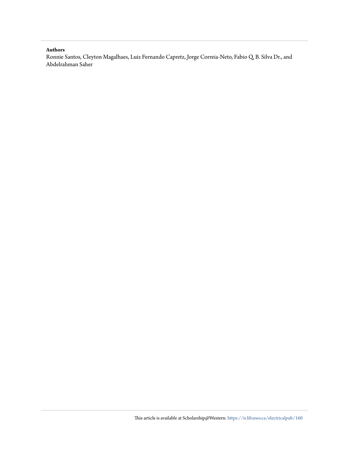# **Authors**

Ronnie Santos, Cleyton Magalhaes, Luiz Fernando Capretz, Jorge Correia-Neto, Fabio Q. B. Silva Dr., and Abdelrahman Saher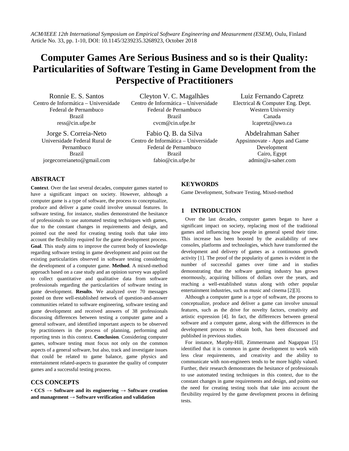# **Computer Games Are Serious Business and so is their Quality: Particularities of Software Testing in Game Development from the Perspective of Practitioners**

Ronnie E. S. Santos Centro de Informática – Universidade Federal de Pernambuco Brazil ress@cin.ufpe.br

Jorge S. Correia-Neto Universidade Federal Rural de Pernambuco Brazil jorgecorreianeto@gmail.com

Cleyton V. C. Magalhães Centro de Informática – Universidade Federal de Pernambuco Brazil cvcm@cin.ufpe.br

Fabio Q. B. da Silva Centro de Informática – Universidade Federal de Pernambuco Brazil fabio@cin.ufpe.br

Luiz Fernando Capretz Electrical & Computer Eng. Dept. Western University Canada lcapretz@uwo.ca

Abdelrahman Saher Appsinnovate - Apps and Game Development Cairo, Egypt admin@a-saher.com

# **ABSTRACT**

**Context**. Over the last several decades, computer games started to have a significant impact on society. However, although a computer game is a type of software, the process to conceptualize, produce and deliver a game could involve unusual features. In software testing, for instance, studies demonstrated the hesitance of professionals to use automated testing techniques with games, due to the constant changes in requirements and design, and pointed out the need for creating testing tools that take into account the flexibility required for the game development process. **Goal**. This study aims to improve the current body of knowledge regarding software testing in game development and point out the existing particularities observed in software testing considering the development of a computer game. **Method**. A mixed-method approach based on a case study and an opinion survey was applied to collect quantitative and qualitative data from software professionals regarding the particularities of software testing in game development. **Results**. We analyzed over 70 messages posted on three well-established network of question-and-answer communities related to software engineering, software testing and game development and received answers of 38 professionals discussing differences between testing a computer game and a general software, and identified important aspects to be observed by practitioners in the process of planning, performing and reporting tests in this context. **Conclusion**. Considering computer games, software testing must focus not only on the common aspects of a general software, but also, track and investigate issues that could be related to game balance, game physics and entertainment related-aspects to guarantee the quality of computer games and a successful testing process.

# **CCS CONCEPTS**

• **CCS → Software and its engineering → Software creation and management → Software verification and validation**

### **KEYWORDS**

Game Development, Software Testing, Mixed-method

# **1 INTRODUCTION**

Over the last decades, computer games began to have a significant impact on society, replacing most of the traditional games and influencing how people in general spend their time. This increase has been boosted by the availability of new consoles, platforms and technologies, which have transformed the development and delivery of games as a continuous growth activity [1]. The proof of the popularity of games is evident in the number of successful games over time and in studies demonstrating that the software gaming industry has grown enormously, acquiring billions of dollars over the years, and reaching a well-established status along with other popular entertainment industries, such as music and cinema [2][3].

Although a computer game is a type of software, the process to conceptualize, produce and deliver a game can involve unusual features, such as the drive for novelty factors, creativity and artistic expression [4]. In fact, the differences between general software and a computer game, along with the differences in the development process to obtain both, has been discussed and published in previous studies.

For instance, Murphy-Hill, Zimmermann and Nagappan [5] identified that it is common in game development to work with less clear requirements, and creativity and the ability to communicate with non-engineers tends to be more highly valued. Further, their research demonstrates the hesitance of professionals to use automated testing techniques in this context, due to the constant changes in game requirements and design, and points out the need for creating testing tools that take into account the flexibility required by the game development process in defining tests.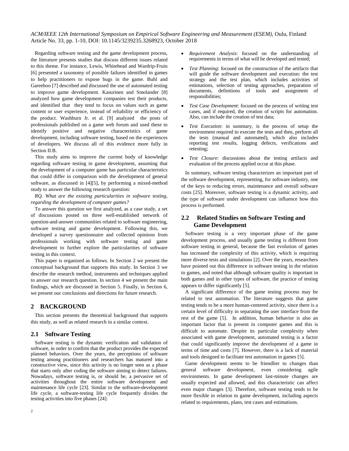Regarding software testing and the game development process, the literature presents studies that discuss different issues related to this theme. For instance, Lewis, Whitehead and Wardrip-Fruin [6] presented a taxonomy of possible failures identified in games to help practitioners to expose bugs in the game. Buhl and Gareeboo [7] described and discussed the use of automated testing to improve game development. Kasurinen and Smolander [8] analyzed how game development companies test their products, and identified that they tend to focus on values such as game content or user experience, instead of reliability or efficiency of the product. Washburn Jr. et al. [9] analyzed the posts of professionals published on a game web forum and used these to identify positive and negative characteristics of game development, including software testing, based on the experiences of developers. We discuss all of this evidence more fully in Section II.B.

This study aims to improve the current body of knowledge regarding software testing in game development, assuming that the development of a computer game has particular characteristics that could differ in comparison with the development of general software, as discussed in [4][5], by performing a mixed-method study to answer the following research question:

*RQ. What are the existing particularities in software testing, regarding the development of computer games?*

To answer this question we first analyzed, as a case study, a set of discussions posted on three well-established network of question-and-answer communities related to software engineering, software testing and game development. Following this, we developed a survey questionnaire and collected opinions from professionals working with software testing and game development to further explore the particularities of software testing in this context.

This paper is organized as follows. In Section 2 we present the conceptual background that supports this study. In Section 3 we describe the research method, instruments and techniques applied to answer our research question. In section 4 we present the main findings, which are discussed in Section 5. Finally, in Section 6, we present our conclusions and directions for future research.

# **2 BACKGROUND**

This section presents the theoretical background that supports this study, as well as related research in a similar context.

# **2.1 Software Testing**

Software testing is the dynamic verification and validation of software, in order to confirm that the product provides the expected planned behaviors. Over the years, the perceptions of software testing among practitioners and researchers has matured into a constructive view, since this activity is no longer seen as a phase that starts only after coding the software aiming to detect failures. Nowadays, software testing is, or should be, a pervasive set of activities throughout the entire software development and maintenance life cycle [\[23\].](#page-14-0) Similar to the software-development life cycle, a software-testing life cycle frequently divides the testing activities into five phases [\[24\]:](#page-14-1)

- *Test Planning*: focused on the construction of the artifacts that will guide the software development and execution: the test strategy and the test plan, which includes activities of estimations, selection of testing approaches, preparation of documents, definitions of tools and assignment of responsibilities;
- *Test Case Development*: focused on the process of writing test cases, and if required, the creation of scripts for automation. Also, can include the creation of test data;
- *Test Execution*: in summary, is the process of setup the environment required to execute the tests and then, perform all the tests (manual and automated), which also includes reporting test results, logging defects, verifications and retesting;
- *Test Closure*: discussions about the testing artifacts and evaluation of the process applied occur at this phase.

In summary, software testing characterizes an important part of the software development, representing, for software industry, one of the keys to reducing errors, maintenance and overall software costs [\[25\].](#page-14-2) Moreover, software testing is a dynamic activity, and the type of software under development can influence how this process is performed.

# **2.2 Related Studies on Software Testing and Game Development**

Software testing is a very important phase of the game development process, and usually game testing is different from software testing in general, because the fast evolution of games has increased the complexity of this activity, which is requiring more diverse tests and simulations [2]. Over the years, researchers have pointed out this difference in software testing in the relation to games, and noted that although software quality is important in both games and in other types of software, the practice of testing appears to differ significantly [5].

A significant difference of the game testing process may be related to test automation. The literature suggests that game testing tends to be a more human-centered activity, since there is a certain level of difficulty in separating the user interface from the rest of the game [5]. In addition, human behavior is also an important factor that is present in computer games and this is difficult to automate. Despite its particular complexity when associated with game development, automated testing is a factor that could significantly improve the development of a game in terms of time and costs [7]. However, there is a lack of material and tools designed to facilitate test automation in games [5].

Game development seems to be friendlier to changes than general software development, even considering agile environments. In game development last-minute changes are usually expected and allowed, and this characteristic can affect even major changes [3]. Therefore, software testing tends to be more flexible in relation to game development, including aspects related to requirements, plans, test cases and estimations.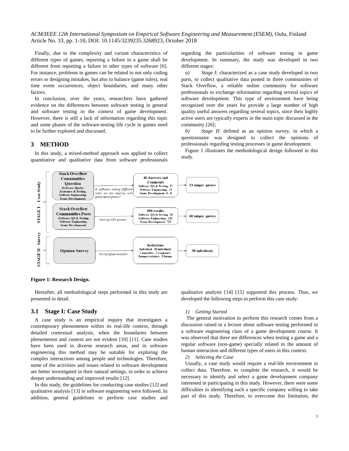Finally, due to the complexity and variant characteristics of different types of games, reporting a failure in a game shall be different from reporting a failure in other types of software [6]. For instance, problems in games can be related to not only coding errors or designing mistakes, but also to balance (game rules), real time event occurrences, object boundaries, and many other factors.

In conclusion, over the years, researchers have gathered evidence on the differences between software testing in general and software testing in the context of game development. However, there is still a lack of information regarding this topic and some phases of the software-testing life cycle in games need to be further explored and discussed.

### **3 METHOD**

In this study, a mixed-method approach was applied to collect quantitative and qualitative data from software professionals regarding the particularities of software testing in game development. In summary, the study was developed in two different stages:

*a) Stage I*: characterized as a case study developed in two parts, to collect qualitative data posted in three communities of Stack Overflow, a reliable online community for software professionals to exchange information regarding several topics of software development. This type of environment have being recognized over the years for provide a large number of high quality useful answers regarding several topics, since their highly active users are typically experts in the main topic discussed in the community [26];

*b) Stage II*: defined as an opinion survey, in which a questionnaire was designed to collect the opinions of professionals regarding testing processes in game development.

Figure 1 illustrates the methodological design followed in this study.



**Figure 1: Research Design.**

Hereafter, all methodological steps performed in this study are presented in detail.

#### **3.1 Stage I: Case Study**

A case study is an empirical inquiry that investigates a contemporary phenomenon within its real-life context, through detailed contextual analysis, when the boundaries between phenomenon and context are not evident [10] [11]. Case studies have been used in diverse research areas, and in software engineering this method may be suitable for exploring the complex interactions among people and technologies. Therefore, some of the activities and issues related to software development are better investigated in their natural settings, in order to achieve deeper understanding and improved results [12].

In this study, the guidelines for conducting case studies [12] and qualitative analysis [13] in software engineering were followed. In addition, general guidelines to perform case studies and qualitative analysis [14] [15] supported this process. Thus, we developed the following steps to perform this case study:

#### *1) Getting Started*

The general motivation to perform this research comes from a discussion raised in a lecture about software testing performed in a software engineering class of a game development course. It was observed that there are differences when testing a game and a regular software (non-game) specially related to the amount of human interaction and different types of users in this context.

*2) Selecting the Case* 

Usually, a case study would require a real-life environment to collect data. Therefore, to complete the research, it would be necessary to identify and select a game development company interested in participating in this study. However, there were some difficulties in identifying such a specific company willing to take part of this study. Therefore, to overcome this limitation, the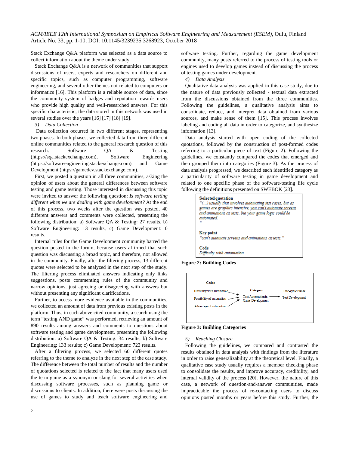Stack Exchange Q&A platform was selected as a data source to collect information about the theme under study.

Stack Exchange Q&A is a network of communities that support discussions of users, experts and researchers on different and specific topics, such as computer programming, software engineering, and several other themes not related to computers or informatics [16]. This platform is a reliable source of data, since the community system of badges and reputation rewards users who provide high quality and well-researched answers. For this specific characteristic, the data stored in this network was used in several studies over the years [16] [17] [18] [19].

#### *3) Data Collection*

Data collection occurred in two different stages, representing two phases. In both phases, we collected data from three different online communities related to the general research question of this research: Software QA & Testing (https://sqa.stackexchange.com), Software Engineering (https://softwareengineering.stackexchange.com) and Game Development (https://gamedev.stackexchange.com).

First, we posted a question in all three communities, asking the opinion of users about the general differences between software testing and game testing. Those interested in discussing this topic were invited to answer the following question: *Is software testing different when we are dealing with game development?* At the end of this process, two weeks after the question was posted, 40 different answers and comments were collected, presenting the following distribution: a) Software QA & Testing: 27 results, b) Software Engineering: 13 results, c) Game Development: 0 results.

Internal rules for the Game Development community barred the question posted in the forum, because users affirmed that such question was discussing a broad topic, and therefore, not allowed in the community. Finally, after the filtering process, 13 different quotes were selected to be analyzed in the next step of the study. The filtering process eliminated answers indicating only links suggestions, posts commenting rules of the community and narrow opinions, just agreeing or disagreeing with answers but without presenting any significant clarifications.

Further, to access more evidence available in the communities, we collected an amount of data from previous existing posts in the platform. Thus, in each above cited community, a search using the term "testing AND game" was performed, retrieving an amount of 890 results among answers and comments to questions about software testing and game development, presenting the following distribution: a) Software QA & Testing: 34 results; b) Software Engineering: 133 results; c) Game Development: 723 results.

After a filtering process, we selected 60 different quotes referring to the theme to analyze in the next step of the case study. The difference between the total number of results and the number of quotations selected is related to the fact that many users used the term game as a synonym or slang for several activities when discussing software processes, such as planning game or discussions to clients. In addition, there were posts discussing the use of games to study and teach software engineering and

software testing. Further, regarding the game development community, many posts referred to the process of testing tools or engines used to develop games instead of discussing the process of testing games under development.

#### *4) Data Analysis*

Qualitative data analysis was applied in this case study, due to the nature of data previously collected - textual data extracted from the discussions obtained from the three communities. Following the guidelines, a qualitative analysis aims to consolidate, reduce, and interpret data obtained from various sources, and make sense of them [15]. This process involves labeling and coding all data in order to categorize, and synthesize information [13].

Data analysis started with open coding of the collected quotations, followed by the construction of post-formed codes referring to a particular piece of text (Figure 2). Following the guidelines, we constantly compared the codes that emerged and then grouped them into categories (Figure 3). As the process of data analysis progressed, we described each identified category as a particularity of software testing in game development and related to one specific phase of the software-testing life cycle following the definitions presented on SWEBOK [23].



**Figure 2: Building Codes**



**Figure 3: Building Categories**

#### *5) Reaching Closure*

Following the guidelines, we compared and contrasted the results obtained in data analysis with findings from the literature in order to raise generalizability at the theoretical level. Finally, a qualitative case study usually requires a member checking phase to consolidate the results, and improve accuracy, credibility, and internal validity of the process [20]. However, the nature of this case, a network of question-and-answer communities, made impracticable the process of re-contacting users to discuss opinions posted months or years before this study. Further, the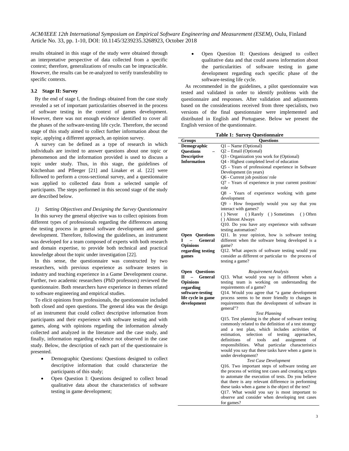results obtained in this stage of the study were obtained through an interpretative perspective of data collected from a specific context; therefore, generalizations of results can be impracticable. However, the results can be re-analyzed to verify transferability to specific contexts.

#### **3.2 Stage II: Survey**

By the end of stage I, the findings obtained from the case study revealed a set of important particularities observed in the process of software testing in the context of games development. However, there was not enough evidence identified to cover all the phases of the software-testing life cycle. Therefore, the second stage of this study aimed to collect further information about the topic, applying a different approach, an opinion survey.

A survey can be defined as a type of research in which individuals are invited to answer questions about one topic or phenomenon and the information provided is used to discuss a topic under study. Thus, in this stage, the guidelines of Kitchenhan and Pfleeger [21] and Linaker et al. [22] were followed to perform a cross-sectional survey, and a questionnaire was applied to collected data from a selected sample of participants. The steps performed in this second stage of the study are described below.

*1) Setting Objectives and Designing the Survey Questionnaire* In this survey the general objective was to collect opinions from different types of professionals regarding the differences among the testing process in general software development and game development. Therefore, following the guidelines, an instrument was developed for a team composed of experts with both research and domain expertise, to provide both technical and practical knowledge about the topic under investigation [22].

In this sense, the questionnaire was constructed by two researchers, with previous experience as software testers in industry and teaching experience in a Game Development course. Further, two academic researchers (PhD professors) reviewed the questionnaire. Both researchers have experience in themes related to software engineering and empirical studies.

To elicit opinions from professionals, the questionnaire included both closed and open questions. The general idea was the design of an instrument that could collect descriptive information from participants and their experience with software testing and with games, along with opinions regarding the information already collected and analyzed in the literature and the case study, and finally, information regarding evidence not observed in the case study. Below, the description of each part of the questionnaire is presented.

- Demographic Questions: Questions designed to collect descriptive information that could characterize the participants of this study;
- Open Question I: Questions designed to collect broad qualitative data about the characteristics of software testing in game development;

• Open Question II: Questions designed to collect qualitative data and that could assess information about the particularities of software testing in game development regarding each specific phase of the software-testing life cycle.

As recommended in the guidelines, a pilot questionnaire was tested and validated in order to identify problems with the questionnaire and responses. After validation and adjustments based on the considerations received from three specialists, two versions of the final questionnaire were implemented and distributed in English and Portuguese. Below we present the English version of the questionnaire.

|                     | <b>Table 1: Survey Questionnaire</b> |                  |
|---------------------|--------------------------------------|------------------|
| $C_{\text{nonmon}}$ |                                      | <b>Ougotiona</b> |

| $Q1 - Name (Optional)$<br><b>Demographic</b><br>Q2 – Email (Optional)<br><b>Questions</b><br><b>Descriptive</b><br>Q3 - Organization you work for (Optional)<br>Q4 - Highest completed level of education<br><b>Information</b><br>Q5 - Years of professional experience in Software<br>Development (in years)<br>Q6 - Current job position/role<br>Q7 - Years of experience in your current position/<br>role<br>Q8 - Years of experience working with game<br>development<br>Q9 - How frequently would you say that you<br>interact with games?<br>() Never<br>() Rarely () Sometimes<br>$()$ Often<br>() Almost Always<br>Q10. Do you have any experience with software |
|----------------------------------------------------------------------------------------------------------------------------------------------------------------------------------------------------------------------------------------------------------------------------------------------------------------------------------------------------------------------------------------------------------------------------------------------------------------------------------------------------------------------------------------------------------------------------------------------------------------------------------------------------------------------------|
|                                                                                                                                                                                                                                                                                                                                                                                                                                                                                                                                                                                                                                                                            |
|                                                                                                                                                                                                                                                                                                                                                                                                                                                                                                                                                                                                                                                                            |
|                                                                                                                                                                                                                                                                                                                                                                                                                                                                                                                                                                                                                                                                            |
|                                                                                                                                                                                                                                                                                                                                                                                                                                                                                                                                                                                                                                                                            |
|                                                                                                                                                                                                                                                                                                                                                                                                                                                                                                                                                                                                                                                                            |
|                                                                                                                                                                                                                                                                                                                                                                                                                                                                                                                                                                                                                                                                            |
|                                                                                                                                                                                                                                                                                                                                                                                                                                                                                                                                                                                                                                                                            |
|                                                                                                                                                                                                                                                                                                                                                                                                                                                                                                                                                                                                                                                                            |
|                                                                                                                                                                                                                                                                                                                                                                                                                                                                                                                                                                                                                                                                            |
|                                                                                                                                                                                                                                                                                                                                                                                                                                                                                                                                                                                                                                                                            |
|                                                                                                                                                                                                                                                                                                                                                                                                                                                                                                                                                                                                                                                                            |
|                                                                                                                                                                                                                                                                                                                                                                                                                                                                                                                                                                                                                                                                            |
|                                                                                                                                                                                                                                                                                                                                                                                                                                                                                                                                                                                                                                                                            |
|                                                                                                                                                                                                                                                                                                                                                                                                                                                                                                                                                                                                                                                                            |
|                                                                                                                                                                                                                                                                                                                                                                                                                                                                                                                                                                                                                                                                            |
|                                                                                                                                                                                                                                                                                                                                                                                                                                                                                                                                                                                                                                                                            |
|                                                                                                                                                                                                                                                                                                                                                                                                                                                                                                                                                                                                                                                                            |
| testing automation?                                                                                                                                                                                                                                                                                                                                                                                                                                                                                                                                                                                                                                                        |
| Q11. In your opinion, how is software testing<br><b>Open Questions</b>                                                                                                                                                                                                                                                                                                                                                                                                                                                                                                                                                                                                     |
| General<br>different when the software being developed is a<br>I<br>$-$                                                                                                                                                                                                                                                                                                                                                                                                                                                                                                                                                                                                    |
| <b>Opinions</b><br>game?                                                                                                                                                                                                                                                                                                                                                                                                                                                                                                                                                                                                                                                   |
| Q12. What aspects of software testing would you<br>regarding testing                                                                                                                                                                                                                                                                                                                                                                                                                                                                                                                                                                                                       |
| consider as different or particular to the process of<br>games                                                                                                                                                                                                                                                                                                                                                                                                                                                                                                                                                                                                             |
| testing a game?                                                                                                                                                                                                                                                                                                                                                                                                                                                                                                                                                                                                                                                            |
|                                                                                                                                                                                                                                                                                                                                                                                                                                                                                                                                                                                                                                                                            |
|                                                                                                                                                                                                                                                                                                                                                                                                                                                                                                                                                                                                                                                                            |
|                                                                                                                                                                                                                                                                                                                                                                                                                                                                                                                                                                                                                                                                            |
| Requirement Analysis<br><b>Open</b> Questions                                                                                                                                                                                                                                                                                                                                                                                                                                                                                                                                                                                                                              |
| Q13. What would you say is different when a<br>п<br>General<br>$\sim$                                                                                                                                                                                                                                                                                                                                                                                                                                                                                                                                                                                                      |
| testing team is working on understanding the<br><b>Opinions</b>                                                                                                                                                                                                                                                                                                                                                                                                                                                                                                                                                                                                            |
| regarding<br>requirements of a game?                                                                                                                                                                                                                                                                                                                                                                                                                                                                                                                                                                                                                                       |
| software-testing<br>Q14. Would you agree that "a game development                                                                                                                                                                                                                                                                                                                                                                                                                                                                                                                                                                                                          |
| process seems to be more friendly to changes in<br>life cycle in game                                                                                                                                                                                                                                                                                                                                                                                                                                                                                                                                                                                                      |
| requirements than the development of software in<br>development                                                                                                                                                                                                                                                                                                                                                                                                                                                                                                                                                                                                            |
| general"?                                                                                                                                                                                                                                                                                                                                                                                                                                                                                                                                                                                                                                                                  |
| <b>Test Planning</b>                                                                                                                                                                                                                                                                                                                                                                                                                                                                                                                                                                                                                                                       |
| Q15. Test planning is the phase of software testing                                                                                                                                                                                                                                                                                                                                                                                                                                                                                                                                                                                                                        |
| commonly related to the definition of a test strategy                                                                                                                                                                                                                                                                                                                                                                                                                                                                                                                                                                                                                      |
| and a test plan, which includes activities of                                                                                                                                                                                                                                                                                                                                                                                                                                                                                                                                                                                                                              |
| selection<br>of<br>estimation,<br>testing<br>approaches,                                                                                                                                                                                                                                                                                                                                                                                                                                                                                                                                                                                                                   |
| definitions<br>of<br>tools<br>and<br>assignment<br>οf                                                                                                                                                                                                                                                                                                                                                                                                                                                                                                                                                                                                                      |
| responsibilities. What particular characteristics                                                                                                                                                                                                                                                                                                                                                                                                                                                                                                                                                                                                                          |
| would you say that these tasks have when a game is                                                                                                                                                                                                                                                                                                                                                                                                                                                                                                                                                                                                                         |
| under development?                                                                                                                                                                                                                                                                                                                                                                                                                                                                                                                                                                                                                                                         |
| <b>Test Case Development</b>                                                                                                                                                                                                                                                                                                                                                                                                                                                                                                                                                                                                                                               |
| Q16. Two important steps of software testing are                                                                                                                                                                                                                                                                                                                                                                                                                                                                                                                                                                                                                           |
| the process of writing test cases and creating scripts                                                                                                                                                                                                                                                                                                                                                                                                                                                                                                                                                                                                                     |
|                                                                                                                                                                                                                                                                                                                                                                                                                                                                                                                                                                                                                                                                            |
| to automate the execution of tests. Do you believe                                                                                                                                                                                                                                                                                                                                                                                                                                                                                                                                                                                                                         |
| that there is any relevant difference in performing                                                                                                                                                                                                                                                                                                                                                                                                                                                                                                                                                                                                                        |
| these tasks when a game is the object of the test?                                                                                                                                                                                                                                                                                                                                                                                                                                                                                                                                                                                                                         |
| Q17. What would you say is most important to<br>observe and consider when developing test cases                                                                                                                                                                                                                                                                                                                                                                                                                                                                                                                                                                            |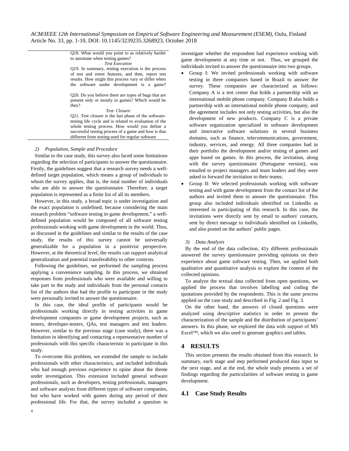> Q18. What would you point to as relatively harder to automate when testing games? *Test Execution*

> Q19. In summary, testing execution is the process of test and retest features, and then, report test results. How might this process vary or differ when the software under development is a game?

> Q20. Do you believe there are types of bugs that are present only or mostly in games? Which would be they?

> > *Test Closure*

Q21. Test closure is the last phase of the softwaretesting life cycle and is related to evaluation of the whole testing process. How would you define a successful testing process of a game and how is that different from testing used for regular software

#### *2) Population, Sample and Procedure*

Similar to the case study, this survey also faced some limitations regarding the selection of participants to answer the questionnaire. Firstly, the guidelines suggest that a research survey needs a welldefined target population, which means a group of individuals to whom the survey applies, that is, the total number of individuals who are able to answer the questionnaire. Therefore, a target population is represented as a finite list of all its members.

However, in this study, a broad topic is under investigation and the exact population is undefined, because considering the main research problem "software testing in game development," a welldefined population would be composed of all software testing professionals working with game development in the world. Thus, as discussed in the guidelines and similar to the results of the case study, the results of this survey cannot be universally generalizable for a population in a positivist perspective. However, at the theoretical level, the results can support analytical generalization and potential transferability to other contexts.

Following the guidelines, we performed the sampling process applying a convenience sampling. In this process, we obtained responses from professionals who were available and willing to take part in the study and individuals from the personal contacts list of the authors that had the profile to participate in the study were personally invited to answer the questionnaire.

In this case, the ideal profile of participants would be professionals working directly in testing activities in game development companies or game development projects, such as testers, developer-testers, QAs, test managers and test leaders. However, similar to the previous stage (case study), there was a limitation in identifying and contacting a representative number of professionals with this specific characteristic to participate in this study.

To overcome this problem, we extended the sample to include professionals with other characteristics, and included individuals who had enough previous experience to opine about the theme under investigation. This extension included general software professionals, such as developers, testing professionals, managers and software analysts from different types of software companies, but who have worked with games during any period of their professional life. For that, the survey included a question to

investigate whether the respondent had experience working with game development at any time or not. Thus, we grouped the individuals invited to answer the questionnaire into two groups.

- Group I: We invited professionals working with software testing in three companies based in Brazil to answer the survey. These companies are characterized as follows: Company A is a test center that holds a partnership with an international mobile phone company. Company B also holds a partnership with an international mobile phone company, and the agreement includes not only testing activities, but also the development of new products. Company C is a private software organization specialized in software development and innovative software solutions in several business domains, such as finance, telecommunications, government, industry, services, and energy. All three companies had in their portfolio the development and/or testing of games and apps based on games. In this process, the invitation, along with the survey questionnaire (Portuguese version), was emailed to project managers and team leaders and they were asked to forward the invitation to their teams;
- Group II: We selected professionals working with software testing and with game development from the contact list of the authors and invited them to answer the questionnaire. This group also included individuals identified on LinkedIn as interested in participating of this research. In this case, the invitations were directly sent by email to authors' contacts, sent by direct message to individuals identified on LinkedIn, and also posted on the authors' public pages.

#### *3) Data Analysis*

By the end of the data collection, 41y different professionals answered the survey questionnaire providing opinions on their experience about game software testing. Then, we applied both qualitative and quantitative analysis to explore the content of the collected opinions.

To analyze the textual data collected from open questions, we applied the process that involves labelling and coding the quotations provided by the respondents. This is the same process applied on the case study and described in Fig. 2 and Fig. 3.

On the other hand, the answers of closed questions were analyzed using descriptive statistics in order to present the characterization of the sample and the distribution of participants' answers. In this phase, we explored the data with support of MS Excel™, which we also used to generate graphics and tables.

## **4 RESULTS**

This section presents the results obtained from this research. In summary, each stage and step performed produced data input to the next stage, and at the end, the whole study presents a set of findings regarding the particularities of software testing in game development.

#### **4.1 Case Study Results**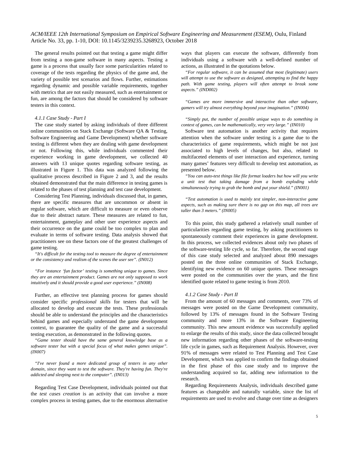The general results pointed out that testing a game might differ from testing a non-game software in many aspects. Testing a game is a process that usually face some particularities related to coverage of the tests regarding the physics of the game and, the variety of possible test scenarios and flows. Further, estimations regarding dynamic and possible variable requirements, together with metrics that are not easily measured, such as entertainment or fun, are among the factors that should be considered by software testers in this context.

#### *4.1.1 Case Study - Part I*

The case study started by asking individuals of three different online communities on Stack Exchange (Software QA & Testing, Software Engineering and Game Development) whether software testing is different when they are dealing with game development or not. Following this, while individuals commented their experience working in game development, we collected 40 answers with 13 unique quotes regarding software testing, as illustrated in Figure 1. This data was analyzed following the qualitative process described in Figure 2 and 3, and the results obtained demonstrated that the main difference in testing games is related to the phases of test planning and test case development.

Considering Test Planning, individuals discussed that, in games, there are specific measures that are uncommon or absent in regular software, which are difficult to measure or even observe due to their abstract nature. These measures are related to fun, entertainment, gameplay and other user experience aspects and their occurrence on the game could be too complex to plan and evaluate in terms of software testing. Data analysis showed that practitioners see on these factors one of the greatest challenges of game testing.

*"It's difficult for the testing tool to measure the degree of entertainment or the consistency and realism of the scenes the user see". (IN012)*

*"For instance 'fun factor' testing is something unique to games. Since they are an entertainment product. Games are not only supposed to work intuitively and it should provide a good user experience." (IN008)*

Further, an effective test planning process for games should consider specific *professional skills* for testers that will be allocated to develop and execute the tests. These professionals should be able to understand the principles and the characteristics behind games and especially understand the game development context, to guarantee the quality of the game and a successful testing execution, as demonstrated in the following quotes.

*"Game tester should have the same general knowledge base as a software tester but with a special focus of what makes games unique". (IN007)*

*"I've never found a more dedicated group of testers in any other domain, since they want to test the software. They're having fun. They're addicted and sleeping next to the computer". (IN013)*

Regarding Test Case Development, individuals pointed out that the *test cases creation* is an activity that can involve a more complex process in testing games, due to the enormous alternative ways that players can execute the software, differently from individuals using a software with a well-defined number of actions, as illustrated in the quotations below.

*"For regular software, it can be assumed that most (legitimate) users will attempt to use the software as designed, attempting to find the happy path. With game testing, players will often attempt to break some aspects." (IND002)*

*"Games are more immersive and interactive than other software, gamers will try almost everything beyond your imagination." (IN004)*

*"Simply put, the number of possible unique ways to do something in context of games, can be mathematically, very very large." (IN010)*

Software test automation is another activity that requires attention when the software under testing is a game due to the characteristics of game requirements, which might be not just associated to high levels of changes, but also, related to multifaceted elements of user interaction and experience, turning many games' features very difficult to develop test automation, as presented below.

*"You can auto-test things like file format loaders but how will you write a unit test that taking damage from a bomb exploding while simultaneously trying to grab the bomb and put your shield." (IN001)*

*"Test automation is used to mainly test simpler, non-interactive game aspects, such as making sure there is no gap on this map, all trees are taller than 3 meters." (IN005)*

To this point, this study gathered a relatively small number of particularities regarding game testing, by asking practitioners to spontaneously comment their experiences in game development. In this process, we collected evidences about only two phases of the software-testing life cycle, so far. Therefore, the second stage of this case study selected and analyzed about 890 messages posted on the three online communities of Stack Exchange, identifying new evidence on 60 unique quotes. These messages were posted on the communities over the years, and the first identified quote related to game testing is from 2010.

#### *4.1.2 Case Study - Part II*

From the amount of 60 messages and comments, over 73% of messages were posted on the Game Development community, followed by 13% of messages found in the Software Testing community and more 13% in the Software Engineering community. This new amount evidence was successfully applied to enlarge the results of this study, since the data collected brought new information regarding other phases of the software-testing life cycle in games, such as Requirement Analysis. However, over 91% of messages were related to Test Planning and Test Case Development, which was applied to confirm the findings obtained in the first phase of this case study and to improve the understanding acquired so far, adding new information to the research.

Regarding Requirements Analysis, individuals described game features as changeable and naturally variable, since the list of requirements are used to evolve and change over time as designers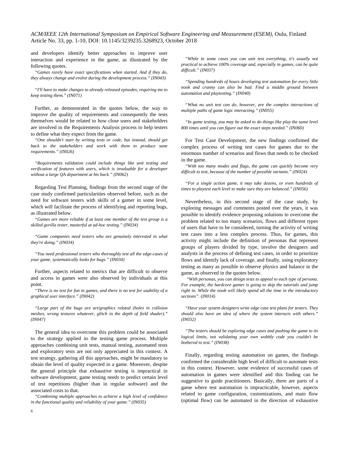and developers identify better approaches to improve user interaction and experience in the game, as illustrated by the following quotes.

*"Games rarely have exact specifications when started. And if they do, they always change and evolve during the development process." (IN043)*

*"I'll have to make changes to already released episodes, requiring me to keep testing them." (IN071)*

Further, as demonstrated in the quotes below, the way to improve the quality of requirements and consequently the tests themselves would be related to how close users and stakeholders are involved in the Requirements Analysis process to help testers to define what they expect from the game.

*"One shouldn't start by writing tests or code, but instead, should get back to the stakeholders and work with them to produce sane requirements." (IN026)*

*"Requirements validation could include things like unit testing and verification of features with users, which is invaluable for a developer without a large QA department at his back." (IN062)*

Regarding Test Planning, findings from the second stage of the case study confirmed particularities observed before, such as the need for software testers with skills of a gamer in some level, which will facilitate the process of identifying and reporting bugs, as illustrated below.

*"Games are more reliable if at least one member of the test group is a skilled gorilla tester, masterful at ad-hoc testing." (IN034)*

*"Game companies need testers who are genuinely interested in what they're doing." (IN034)*

*"You need professional testers who thoroughly test all the edge-cases of your game, systematically looks for bugs." (IN034)*

Further, aspects related to metrics that are difficult to observe and access in games were also observed by individuals at this point.

*"There is no test for fun in games, and there is no test for usability of a graphical user interface." (IN042)*

*"Large part of the bugs are art/graphics related (holes in collision meshes, wrong textures whatever, glitch in the depth of field shader)." (IN047)*

The general idea to overcome this problem could be associated to the strategy applied in the testing game process. Multiple approaches combining unit tests, manual testing, automated tests and exploratory tests are not only appreciated in this context. A test strategy, gathering all this approaches, might be mandatory to obtain the level of quality expected in a game. Moreover, despite the general principle that exhaustive testing is impractical in software development, game testing needs to predict certain level of test repetitions (higher than in regular software) and the associated costs to that.

*"Combining multiple approaches to achieve a high level of confidence in the functional quality and reliability of your game." (IN035)*

*"While in some cases you can unit test everything, it's usually not practical to achieve 100% coverage and, especially in games, can be quite difficult." (IN037)*

*"Spending hundreds of hours developing test automation for every little nook and cranny can also be bad. Find a middle ground between automation and playtesting." (IN040)*

*"What no unit test can do, however, are the complex interactions of multiple paths of game logic interacting." (IN055)*

*"In game testing, you may be asked to do things like play the same level 800 times until you can figure out the exact steps needed." (IN060)*

For Test Case Development, the new findings confirmed the complex process of writing test cases for games due to the enormous number of scenarios and flows that needs to be checked in the game.

*"With too many modes and flags, the game can quickly become very difficult to test, because of the number of possible variants." (IN024)*

*"For a single action game, it may take dozens, or even hundreds of times to playtest each level to make sure they are balanced." (IN056)*

Nevertheless, in this second stage of the case study, by exploring messages and comments posted over the years, it was possible to identify evidence proposing solutions to overcome the problem related to too many scenarios, flows and different types of users that have to be considered, turning the activity of writing test cases into a less complex process. Thus, for games, this activity might include the definition of personas that represent groups of players divided by type, involve the designers and analysts in the process of defining test cases, in order to prioritize flows and identify lack of coverage, and finally, using exploratory testing as many as possible to observe physics and balance in the game, as observed in the quotes below.

*"With personas, you can design tests to appeal to each type of persona. For example, the hardcore gamer is going to skip the tutorials and jump right in. While the noob will likely spend all the time in the introductory sections". (IN014)*

*"Have your system designers write edge case test plans for testers. They should also have an idea of where the system interacts with others." (IN032)*

*"The testers should be exploring edge cases and pushing the game to its logical limits, not validating your own wobbly code you couldn't be bothered to test." (IN038)*

Finally, regarding testing automation on games, the findings confirmed the considerable high level of difficult to automate tests in this context. However, some evidence of successful cases of automation in games were identified and this finding can be suggestive to guide practitioners. Basically, there are parts of a game where test automation is impracticable, however, aspects related to game configuration, customizations, and main flow (optimal flow) can be automated in the direction of exhaustive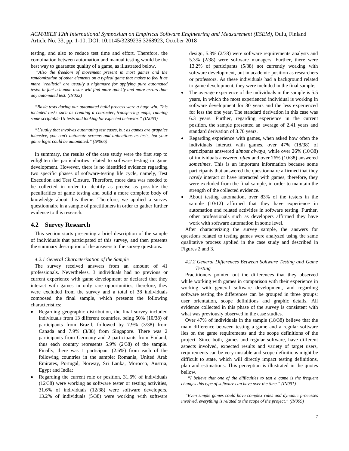testing, and also to reduce test time and effort. Therefore, the combination between automation and manual testing would be the best way to guarantee quality of a game, as illustrated below.

*"Also the freedom of movement present in most games and the randomization of other elements on a typical game that makes to feel it as more "realistic" are usually a nightmare for applying pure automated tests: in fact a human tester will find more quickly and more errors than any automated test. (IN022)*

*"Basic tests during our automated build process were a huge win. This included tasks such as creating a character, transferring maps, running some scriptable UI tests and looking for expected behavior." (IN063)*

*"Usually that involves automating test cases, but as games are graphics intensive, you can't automate screens and animations as tests, but your game logic could be automated." (IN066)*

In summary, the results of the case study were the first step to enlighten the particularities related to software testing in game development. However, there is no identified evidence regarding two specific phases of software-testing life cycle, namely, Test Execution and Test Closure. Therefore, more data was needed to be collected in order to identify as precise as possible the peculiarities of game testing and build a more complete body of knowledge about this theme. Therefore, we applied a survey questionnaire in a sample of practitioners in order to gather further evidence to this research.

#### **4.2 Survey Research**

This section starts presenting a brief description of the sample of individuals that participated of this survey, and then presents the summary description of the answers to the survey questions.

#### *4.2.1 General Characterization of the Sample*

The survey received answers from an amount of 41 professionals. Nevertheless, 3 individuals had no previous or current experience with game development or declared that they interact with games in only rare opportunities, therefore, they were excluded from the survey and a total of 38 individuals composed the final sample, which presents the following characteristics:

- Regarding geographic distribution, the final survey included individuals from 13 different countries, being 50% (10/38) of participants from Brazil, followed by 7.9% (3/38) from Canada and 7.9% (3/38) from Singapore. There was 2 participants from Germany and 2 participants from Finland, thus each country represents 5.9% (2/38) of the sample. Finally, there was 1 participant (2.6%) from each of the following countries in the sample: Romania, United Arab Emirates, Portugal, Norway, Sri Lanka, Morocco, Austria, Egypt and India;
- Regarding the current role or position, 31.6% of individuals (12/38) were working as software tester or testing activities, 31.6% of individuals (12/38) were software developers, 13.2% of individuals (5/38) were working with software

design, 5.3% (2/38) were software requirements analysts and 5.3% (2/38) were software managers. Further, there were 13.2% of participants (5/38) not currently working with software development, but in academic position as researchers or professors. As these individuals had a background related to game development, they were included in the final sample;

- The average experience of the individuals in the sample is 5.5 years, in which the most experienced individual is working in software development for 30 years and the less experienced for less the one year. The standard derivation in this case was 6.3 years. Further, regarding experience in the current position, the sample presented an average of 2.41 years and standard derivation of 3.70 years.
- Regarding experience with games, when asked how often the individuals interact with games, over 47% (18/38) of participants answered *almost always,* while over 26% (10/38) of individuals answered *often* and over 26% (10/38) answered *sometimes*. This is an important information because some participants that answered the questionnaire affirmed that they *rarely* interact or have interacted with games, therefore, they were excluded from the final sample, in order to maintain the strength of the collected evidence.
- About testing automation, over 83% of the testers in the sample (10/12) affirmed that they have experience in automation and related activities in software testing. Further, other professionals such as developers affirmed they have work with software automation in some level.

After characterizing the survey sample, the answers for questions related to testing games were analyzed using the same qualitative process applied in the case study and described in Figures 2 and 3.

#### *4.2.2 General Differences Between Software Testing and Game Testing*

Practitioners pointed out the differences that they observed while working with games in comparison with their experience in working with general software development, and regarding software testing the differences can be grouped in three groups: user orientation, scope definitions and graphic details. All evidence collected in this phase of the survey is consistent with what was previously observed in the case studies.

Over 47% of individuals in the sample (18/38) believe that the main difference between testing a game and a regular software lies on the game requirements and the scope definitions of the project. Since both, games and regular software, have different aspects involved, expected results and variety of target users, requirements can be very unstable and scope definitions might be difficult to state, which will directly impact testing definitions, plan and estimations. This perception is illustrated in the quotes bellow.

 *"I believe that one of the difficulties to test a game is the frequent changes this type of software can have over the time." (IN091)*

*"Even simple games could have complex rules and dynamic processes involved, everything is related to the scope of the project." (IN099)*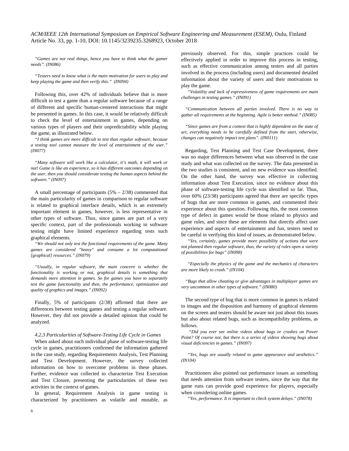*"Games are not real things, hence you have to think what the gamer needs". (IN086)*

*"Testers need to know what is the main motivation for users to play and keep playing the game and then verify this." (IN094)*

Following this, over 42% of individuals believe that is more difficult to test a game than a regular software because of a range of different and specific human-centered interactions that might be presented in games. In this case, it would be relatively difficult to check the level of entertainment in games, depending on various types of players and their unpredictability while playing the game, as illustrated below.

*"I think games are more difficult to test than regular software, because a testing tool cannot measure the level of entertainment of the user." (IN077)*

*"Many software will work like a calculator, it's math, it will work or not! Game is like an experience, so it has different outcomes depending on the user, then you should considerate testing the human aspects behind the software." (IN097)*

A small percentage of participants  $(5% - 2/38)$  commented that the main particularity of games in comparison to regular software is related to graphical interface details, which is an extremely important element in games, however, is less representative in other types of software. Thus, since games are part of a very specific context, part of the professionals working in software testing might have limited experience regarding tests such graphical elements.

*"We should not only test the functional requirements of the game. Many games are considered "heavy" and consume a lot computational [graphical] resources." (IN079)*

*"Usually, in regular software, the main concern is whether the functionality is working or not, graphical details is something that demands more attention in games. So for games you have to separately test the game functionality and then, the performance, optimization and quality of graphics and images." (IN092)*

Finally, 5% of participants (2/38) affirmed that there are differences between testing games and testing a regular software. However, they did not provide a detailed opinion that could be analyzed.

#### *4.2.3 Particularities of Software-Testing Life Cycle in Games*

When asked about each individual phase of software-testing life cycle in games, practitioners confirmed the information gathered in the case study, regarding Requirements Analysis, Test Planning and Test Development. However, the survey collected information on how to overcome problems in these phases. Further, evidence was collected to characterize Test Execution and Test Closure, presenting the particularities of these two activities in the context of games.

In general, Requirement Analysis in game testing is characterized by practitioners as volatile and mutable, as

previously observed. For this, simple practices could be effectively applied in order to improve this process in testing, such as effective communication among testers and all parties involved in the process (including users) and documented detailed information about the variety of users and their motivations to play the game.

 *"Volatility and lack of expressiveness of game requirements are main challenges in testing games." (IN091)*

*"Communication between all parties involved. There is no way to gather all requirements at the beginning. Agile is better method." (IN085)*

*"Since games are from a context that is highly dependent on the state of art, everything needs to be carefully defined from the start, otherwise, changes can negatively impact test plans". (IN0111)*

Regarding, Test Planning and Test Case Development, there was no major differences between what was observed in the case study and what was collected on the survey. The data presented in the two studies is consistent, and no new evidence was identified. On the other hand, the survey was effective in collecting information about Test Execution, since no evidence about this phase of software-testing life cycle was identified so far. Thus, over 60% (23/38) participants agreed that there are specific types of bugs that are more common in games, and commented their experience about this question. Following this, the most common type of defect in games would be those related to physics and game rules, and since these are elements that directly affect user experience and aspects of entertainment and fun, testers need to be careful in verifying this kind of issues, as demonstrated below.

 *"Yes, certainly, games provide more possibility of actions that were not planned then regular software, thus, the variety of rules open a variety of possibilities for bugs" (IN098)*

 *"Especially the physics of the game and the mechanics of characters are more likely to crash." (IN104)*

*"Bugs that allow cheating or give advantages in multiplayer games are very uncommon in other types of software." (IN080)*

The second type of bug that is more common in games is related to images and the disposition and harmony of graphical elements on the screen and testers should be aware not just about this issues but also about related bugs, such as incompatibility problems, as follows.

 *"Did you ever see online videos about bugs or crashes on Power Point? Of course not, but there is a series of videos showing bugs about visual deficiencies in games." (IN097)*

 *"Yes, bugs are usually related to game appearance and aesthetics." (IN104)*

Practitioners also pointed out performance issues as something that needs attention from software testers, since the way that the game runs can provide good experience for players, especially when considering online games.

 *"Yes, performance. It is important to check system delays." (IN078)*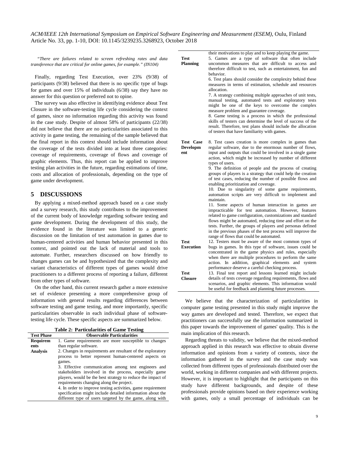*"There are failures related to screen refreshing rates and data transference that are critical for online games, for example." (IN104)*

Finally, regarding Test Execution, over 23% (9/38) of participants (9/38) believed that there is no specific type of bugs for games and over 15% of individuals (6/38) say they have no answer for this question or preferred not to opine.

The survey was also effective in identifying evidence about Test Closure in the software-testing life cycle considering the context of games, since no information regarding this activity was found in the case study. Despite of almost 58% of participants (22/38) did not believe that there are no particularities associated to this activity in game testing, the remaining of the sample believed that the final report in this context should include information about the coverage of the tests divided into at least three categories: coverage of requirements, coverage of flows and coverage of graphic elements. Thus, this report can be applied to improve testing plan activities in the future, regarding estimations of time, costs and allocation of professionals, depending on the type of game under development.

# **5 DISCUSSIONS**

By applying a mixed-method approach based on a case study and a survey research, this study contributes to the improvement of the current body of knowledge regarding software testing and game development. During the development of this study, the evidence found in the literature was limited to a generic discussion on the limitation of test automation in games due to human-centered activities and human behavior presented in this context, and pointed out the lack of material and tools to automate. Further, researchers discussed on how friendly to changes games can be and hypothesized that the complexity and variant characteristics of different types of games would drive practitioners to a different process of reporting a failure, different from other types of software.

On the other hand, this current research gather a more extensive set of evidence presenting a more comprehensive group of information with general results regarding differences between software testing and game testing, and more importantly, specific particularities observable in each individual phase of softwaretesting life cycle. These specific aspects are summarized below.

| <b>Table 2: Particularities of Game Testing</b> |  |  |
|-------------------------------------------------|--|--|
|                                                 |  |  |

| <b>Test Phase</b> | <b>Observable Particularities</b>                           |
|-------------------|-------------------------------------------------------------|
| Requirem          | 1. Game requirements are more susceptible to changes        |
| ents              | than regular software.                                      |
| <b>Analysis</b>   | 2. Changes in requirements are resultant of the exploratory |
|                   | process to better represent human-centered aspects on       |
|                   | games.                                                      |
|                   | 3. Effective communication among test engineers and         |
|                   | stakeholders involved in the process, especially game       |
|                   | players, would be the best strategy to reduce the impact of |
|                   | requirements changing along the project.                    |
|                   |                                                             |
|                   | 4. In order to improve testing activities, game requirement |
|                   | specification might include detailed information about the  |
|                   | different type of users targeted by the game, along with    |

| Test<br><b>Planning</b>                    | their motivations to play and to keep playing the game.<br>5. Games are a type of software that often include<br>uncommon measures that are difficult to access and<br>therefore difficult to test, such as entertainment, fun and<br>behavior.<br>6. Test plans should consider the complexity behind these<br>measures in terms of estimation, schedule and resources<br>allocation.<br>7. A strategy combining multiple approaches of unit tests,<br>manual testing, automated tests and exploratory tests<br>might be one of the keys to overcome the complex<br>measure problem and guarantee coverage.<br>8. Game testing is a process in which the professional<br>skills of testers can determine the level of success of the<br>result. Therefore, test plans should include the allocation<br>of testers that have familiarity with games.                                                                                                                                                                                   |
|--------------------------------------------|----------------------------------------------------------------------------------------------------------------------------------------------------------------------------------------------------------------------------------------------------------------------------------------------------------------------------------------------------------------------------------------------------------------------------------------------------------------------------------------------------------------------------------------------------------------------------------------------------------------------------------------------------------------------------------------------------------------------------------------------------------------------------------------------------------------------------------------------------------------------------------------------------------------------------------------------------------------------------------------------------------------------------------------|
| <b>Test Case</b><br><b>Developm</b><br>ent | 8. Test cases creation is more complex in games than<br>regular software, due to the enormous number of flows,<br>input and outputs that could be involved in a single game<br>action, which might be increased by number of different<br>types of users.<br>9. The definition of people and the process of creating<br>groups of players is a strategy that could help the creation<br>of test cases, reducing the number of possible flows and<br>enabling prioritization and coverage.<br>10. Due to singularity of some game requirements,<br>automation scripts are very difficult to implement and<br>maintain.<br>11. Some aspects of human interaction in games are<br>impracticable for test automation. However, features<br>related to game configuration, customizations and standard<br>flows might be automated, reducing time and effort on the<br>tests. Further, the groups of players and personas defined<br>in the previous phases of the test process will improve the<br>range of flows that could be automated. |
| Test<br><b>Execution</b>                   | 12. Testers must be aware of the most common types of<br>bugs in games. In this type of software, issues could be<br>concentrated in the game physics and rules, especially<br>when there are multiple procedures to perform the same<br>action. In addition, graphical elements<br>and<br>system<br>performance deserve a careful checking process.                                                                                                                                                                                                                                                                                                                                                                                                                                                                                                                                                                                                                                                                                   |
| <b>Test</b><br><b>Closure</b>              | 13. Final test report and lessons learned might include<br>details of tests coverage regarding requirements, flows and<br>scenarios, and graphic elements. This information would<br>be useful for feedback and planning future processes.                                                                                                                                                                                                                                                                                                                                                                                                                                                                                                                                                                                                                                                                                                                                                                                             |

We believe that the characterization of particularities in computer game testing presented in this study might improve the way games are developed and tested. Therefore, we expect that practitioners can successfully use the information summarized in this paper towards the improvement of games' quality. This is the main implication of this research.

Regarding threats to validity, we believe that the mixed-method approach applied in this research was effective to obtain diverse information and opinions from a variety of contexts, since the information gathered in the survey and the case study was collected from different types of professionals distributed over the world, working in different companies and with different projects. However, it is important to highlight that the participants on this study have different backgrounds, and despite of these professionals provide opinions based on their experience working with games, only a small percentage of individuals can be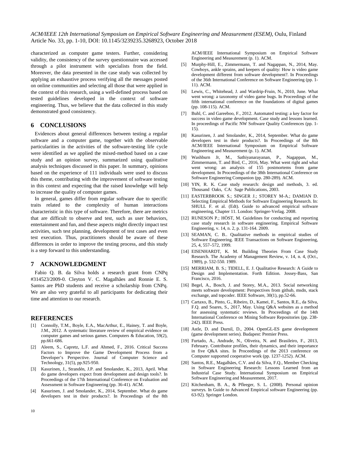characterized as computer game testers. Further, considering validity, the consistency of the survey questionnaire was accessed through a pilot instrument with specialists from the field. Moreover, the data presented in the case study was collected by applying an exhaustive process verifying all the messages posted on online communities and selecting all those that were applied in the context of this research, using a well-defined process based on tested guidelines developed in the context of software engineering. Thus, we believe that the data collected in this study demonstrated good consistency.

# **6 CONCLUSIONS**

Evidences about general differences between testing a regular software and a computer game, together with the observable particularities in the activities of the software-testing life cycle were identified as we applied the mixed-method based on a case study and an opinion survey, summarized using qualitative analysis techniques discussed in this paper. In summary, opinions based on the experience of 111 individuals were used to discuss this theme, contributing with the improvement of software testing in this context and expecting that the raised knowledge will help to increase the quality of computer games.

In general, games differ from regular software due to specific traits related to the complexity of human interactions characteristic in this type of software. Therefore, there are metrics that are difficult to observe and test, such as user behaviors, entertainment and fun, and these aspects might directly impact test activities, such test planning, development of test cases and even test execution. Thus, practitioners should be aware of these differences in order to improve the testing process, and this study is a step forward to this understanding.

#### **7 ACKNOWLEDGMENT**

Fabio Q. B. da Silva holds a research grant from CNPq #314523/2009-0. Cleyton V. C. Magalhães and Ronnie E. S. Santos are PhD students and receive a scholarship from CNPq. We are also very grateful to all participants for dedicating their time and attention to our research.

#### **REFERENCES**

- [1] Connolly, T.M., Boyle, E.A., MacArthur, E., Hainey, T. and Boyle, J.M., 2012. A systematic literature review of empirical evidence on computer games and serious games. Computers & Education, 59(2), pp.661-686.
- [2] Aleem, S., Capretz, L.F. and Ahmed, F., 2016. Critical Success Factors to Improve the Game Development Process from a Developer's Perspective. Journal of Computer Science and Technology, 31(5), pp.925-950.
- [3] Kasurinen, J., Strandén, J.P. and Smolander, K., 2013, April. What do game developers expect from development and design tools?. In Proceedings of the 17th International Conference on Evaluation and Assessment in Software Engineering (pp. 36-41). ACM.
- [4] Kasurinen, J. and Smolander, K., 2014, September. What do game developers test in their products?. In Proceedings of the 8th

ACM/IEEE International Symposium on Empirical Software Engineering and Measurement (p. 1). ACM.

- [5] Murphy-Hill, E., Zimmermann, T. and Nagappan, N., 2014, May. Cowboys, ankle sprains, and keepers of quality: How is video game development different from software development?. In Proceedings of the 36th International Conference on Software Engineering (pp. 1- 11). ACM.
- [6] Lewis, C., Whitehead, J. and Wardrip-Fruin, N., 2010, June. What went wrong: a taxonomy of video game bugs. In Proceedings of the fifth international conference on the foundations of digital games (pp. 108-115). ACM.
- [7] Buhl, C. and Gareeboo, F., 2012. Automated testing: a key factor for success in video game development. Case study and lessons learned. In proceedings of Pacific NW Software Quality Conferences (pp. 1- 15).
- [8] Kasurinen, J. and Smolander, K., 2014, September. What do game developers test in their products?. In Proceedings of the 8th ACM/IEEE International Symposium on Empirical Software Engineering and Measurement (p. 1). ACM.
- [9] Washburn Jr, M., Sathiyanarayanan, P., Nagappan, M., Zimmermann, T. and Bird, C., 2016, May. What went right and what went wrong: an analysis of 155 postmortems from game development. In Proceedings of the 38th International Conference on Software Engineering Companion (pp. 280-289). ACM.
- [10] YIN, R. K. Case study research: design and methods, 3. ed. Thousand Oaks, CA: Sage Publications, 2003.
- [11] EASTERBROOK S.; SINGER J.; STOREY M-A.; DAMIAN D. Selecting Empirical Methods for Software Engineering Research. In: SHULL F. et al. (Edt). Guide to advanced empirical software engineering, Chapter 11. London: Springer-Verlag. 2008.
- [12] RUNESON P.; HÖST, M. Guidelines for conducting and reporting case study research in software engineering. Empirical Software Engineering, v. 14, n. 2, p. 131-164. 2009.
- [13] SEAMAN, C. B.. Qualitative methods in empirical studies of Software Engineering. IEEE Transactions on Software Engineering, 25, 4, 557–572, 1999.
- [14] EISENHARDT, K. M. Building Theories From Case Study Research. The Academy of Management Review, v. 14, n. 4, (Oct., 1989), p. 532-550. 1989.
- [15] MERRIAM, B. S.; TIDELL, E. J. Qualitative Research: A Guide to Design and Implementation. Forth Edition. Jossey-Bass, San Francisco, 2016.
- [16] Begel, A., Bosch, J. and Storey, M.A., 2013. Social networking meets software development: Perspectives from github, msdn, stack exchange, and topcoder. IEEE Software, 30(1), pp.52-66.
- [17] Cartaxo, B., Pinto, G., Ribeiro, D., Kamei, F., Santos, R.E., da Silva, F.Q. and Soares, S., 2017, May. Using Q&A websites as a method for assessing systematic reviews. In Proceedings of the 14th International Conference on Mining Software Repositories (pp. 238- 242). IEEE Press.
- [18] Astle, D. and Durnil, D., 2004. OpenGL-ES game development (game development series). Budapest: Premier Press.
- [19] Furtado, A., Andrade, N., Oliveira, N. and Brasileiro, F., 2013, February. Contributor profiles, their dynamics, and their importance in five Q&A sites. In Proceedings of the 2013 conference on Computer supported cooperative work (pp. 1237-1252). ACM.
- [20] Santos, R.E., Magalhães, C.V. and da Silva, F.Q., Member Checking in Software Engineering Research: Lessons Learned from an Industrial Case Study. International Symposium on Empirical Software Engineering and Measurement, 2017.
- [21] Kitchenham, B. A., & Pfleeger, S. L. (2008). Personal opinion surveys. In Guide to Advanced Empirical software Engineering (pp. 63-92). Springer London.